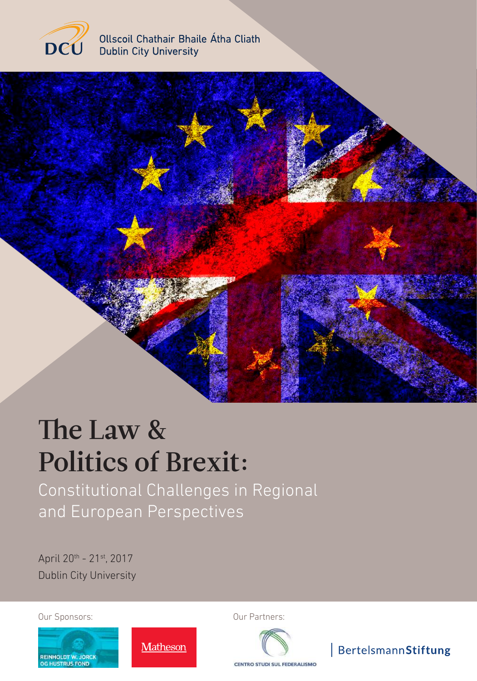

Ollscoil Chathair Bhaile Átha Cliath **Dublin City University** 



# The Law & Politics of Brexit:

Constitutional Challenges in Regional and European Perspectives

Matheson

April 20th - 21st, 2017 Dublin City University



Our Sponsors: Our Partners:



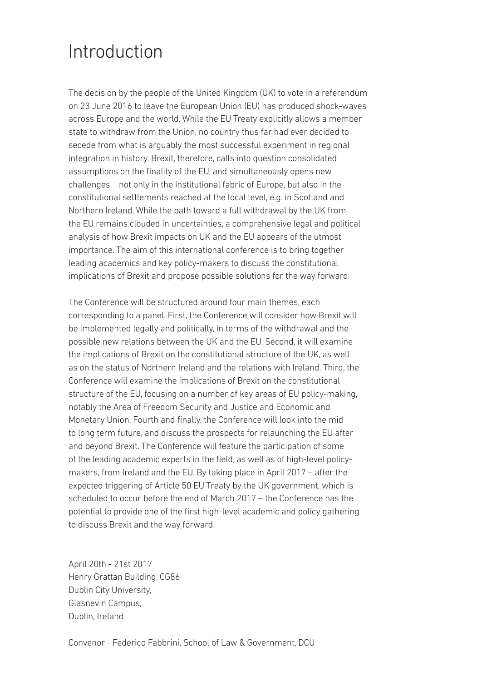## Introduction

The decision by the people of the United Kingdom (UK) to vote in a referendum on 23 June 2016 to leave the European Union (EU) has produced shock-waves across Europe and the world. While the EU Treaty explicitly allows a member state to withdraw from the Union, no country thus far had ever decided to secede from what is arguably the most successful experiment in regional integration in history. Brexit, therefore, calls into question consolidated assumptions on the finality of the EU, and simultaneously opens new challenges – not only in the institutional fabric of Europe, but also in the constitutional settlements reached at the local level, e.g. in Scotland and Northern Ireland. While the path toward a full withdrawal by the UK from the EU remains clouded in uncertainties, a comprehensive legal and political analysis of how Brexit impacts on UK and the EU appears of the utmost importance. The aim of this international conference is to bring together leading academics and key policy-makers to discuss the constitutional implications of Brexit and propose possible solutions for the way forward.

The Conference will be structured around four main themes, each corresponding to a panel. First, the Conference will consider how Brexit will be implemented legally and politically, in terms of the withdrawal and the possible new relations between the UK and the EU. Second, it will examine the implications of Brexit on the constitutional structure of the UK, as well as on the status of Northern Ireland and the relations with Ireland. Third, the Conference will examine the implications of Brexit on the constitutional structure of the EU, focusing on a number of key areas of EU policy-making, notably the Area of Freedom Security and Justice and Economic and Monetary Union. Fourth and finally, the Conference will look into the mid to long term future, and discuss the prospects for relaunching the EU after and beyond Brexit. The Conference will feature the participation of some of the leading academic experts in the field, as well as of high-level policymakers, from Ireland and the EU. By taking place in April 2017 – after the expected triggering of Article 50 EU Treaty by the UK government, which is scheduled to occur before the end of March 2017 – the Conference has the potential to provide one of the first high-level academic and policy gathering to discuss Brexit and the way forward.

April 20th - 21st 2017 Henry Grattan Building, CG86 Dublin City University, Glasnevin Campus, Dublin, Ireland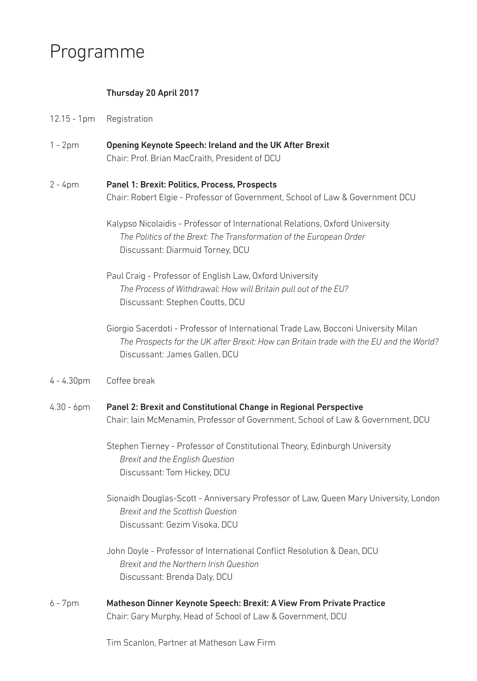## Programme

#### Thursday 20 April 2017

- Registration 12.15 - 1pm
- Opening Keynote Speech: Ireland and the UK After Brexit Chair: Prof. Brian MacCraith, President of DCU 1 - 2pm
- Panel 1: Brexit: Politics, Process, Prospects Chair: Robert Elgie - Professor of Government, School of Law & Government DCU 2 - 4pm
	- Kalypso Nicolaidis Professor of International Relations, Oxford University *The Politics of the Brext: The Transformation of the European Order* Discussant: Diarmuid Torney, DCU
	- Paul Craig Professor of English Law, Oxford University *The Process of Withdrawal: How will Britain pull out of the EU?*  Discussant: Stephen Coutts, DCU
	- Giorgio Sacerdoti Professor of International Trade Law, Bocconi University Milan *The Prospects for the UK after Brexit: How can Britain trade with the EU and the World?*  Discussant: James Gallen, DCU
- Coffee break 4 - 4.30pm
- Panel 2: Brexit and Constitutional Change in Regional Perspective Chair: Iain McMenamin, Professor of Government, School of Law & Government, DCU 4.30 - 6pm

Stephen Tierney - Professor of Constitutional Theory, Edinburgh University *Brexit and the English Question* Discussant: Tom Hickey, DCU

- Sionaidh Douglas-Scott Anniversary Professor of Law, Queen Mary University, London *Brexit and the Scottish Question* Discussant: Gezim Visoka, DCU
- John Doyle Professor of International Conflict Resolution & Dean, DCU *Brexit and the Northern Irish Question* Discussant: Brenda Daly, DCU
- Matheson Dinner Keynote Speech: Brexit: A View From Private Practice Chair: Gary Murphy, Head of School of Law & Government, DCU 6 - 7pm

Tim Scanlon, Partner at Matheson Law Firm